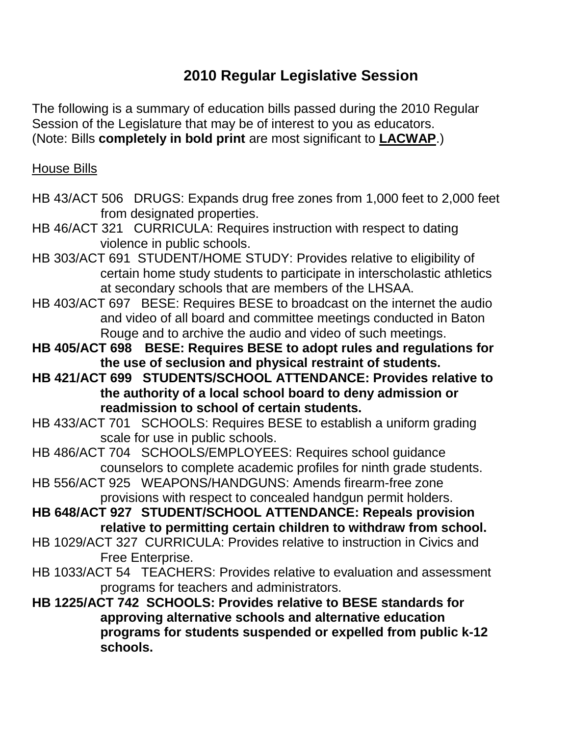## **2010 Regular Legislative Session**

The following is a summary of education bills passed during the 2010 Regular Session of the Legislature that may be of interest to you as educators. (Note: Bills **completely in bold print** are most significant to **LACWAP**.)

## House Bills

- HB 43/ACT 506 DRUGS: Expands drug free zones from 1,000 feet to 2,000 feet from designated properties.
- HB 46/ACT 321 CURRICULA: Requires instruction with respect to dating violence in public schools.
- HB 303/ACT 691 STUDENT/HOME STUDY: Provides relative to eligibility of certain home study students to participate in interscholastic athletics at secondary schools that are members of the LHSAA.
- HB 403/ACT 697 BESE: Requires BESE to broadcast on the internet the audio and video of all board and committee meetings conducted in Baton Rouge and to archive the audio and video of such meetings.
- **HB 405/ACT 698 BESE: Requires BESE to adopt rules and regulations for the use of seclusion and physical restraint of students.**
- **HB 421/ACT 699 STUDENTS/SCHOOL ATTENDANCE: Provides relative to the authority of a local school board to deny admission or readmission to school of certain students.**
- HB 433/ACT 701 SCHOOLS: Requires BESE to establish a uniform grading scale for use in public schools.
- HB 486/ACT 704 SCHOOLS/EMPLOYEES: Requires school guidance counselors to complete academic profiles for ninth grade students.
- HB 556/ACT 925 WEAPONS/HANDGUNS: Amends firearm-free zone provisions with respect to concealed handgun permit holders.
- **HB 648/ACT 927 STUDENT/SCHOOL ATTENDANCE: Repeals provision relative to permitting certain children to withdraw from school.**
- HB 1029/ACT 327 CURRICULA: Provides relative to instruction in Civics and Free Enterprise.
- HB 1033/ACT 54 TEACHERS: Provides relative to evaluation and assessment programs for teachers and administrators.
- **HB 1225/ACT 742 SCHOOLS: Provides relative to BESE standards for approving alternative schools and alternative education programs for students suspended or expelled from public k-12 schools.**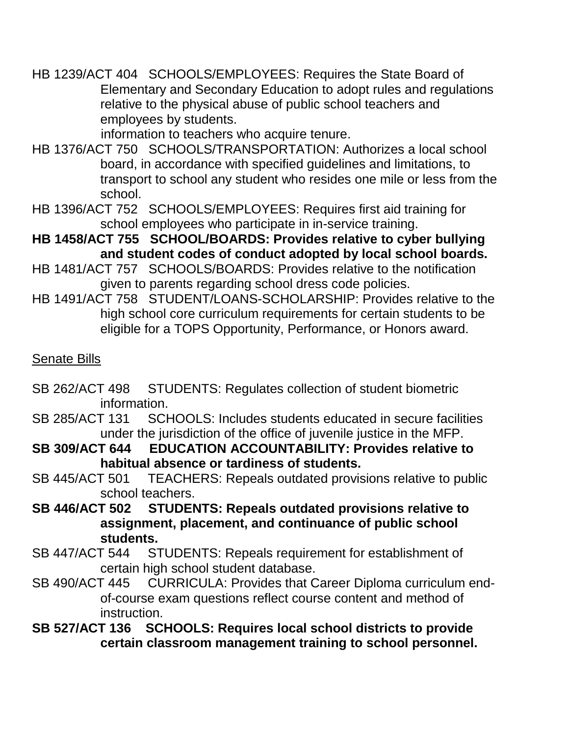HB 1239/ACT 404 SCHOOLS/EMPLOYEES: Requires the State Board of Elementary and Secondary Education to adopt rules and regulations relative to the physical abuse of public school teachers and employees by students.

information to teachers who acquire tenure.

HB 1376/ACT 750 SCHOOLS/TRANSPORTATION: Authorizes a local school board, in accordance with specified guidelines and limitations, to transport to school any student who resides one mile or less from the school.

HB 1396/ACT 752 SCHOOLS/EMPLOYEES: Requires first aid training for school employees who participate in in-service training.

**HB 1458/ACT 755 SCHOOL/BOARDS: Provides relative to cyber bullying and student codes of conduct adopted by local school boards.**

HB 1481/ACT 757 SCHOOLS/BOARDS: Provides relative to the notification given to parents regarding school dress code policies.

HB 1491/ACT 758 STUDENT/LOANS-SCHOLARSHIP: Provides relative to the high school core curriculum requirements for certain students to be eligible for a TOPS Opportunity, Performance, or Honors award.

## Senate Bills

- SB 262/ACT 498 STUDENTS: Regulates collection of student biometric information.
- SB 285/ACT 131 SCHOOLS: Includes students educated in secure facilities under the jurisdiction of the office of juvenile justice in the MFP.

**SB 309/ACT 644 EDUCATION ACCOUNTABILITY: Provides relative to habitual absence or tardiness of students.**

- SB 445/ACT 501 TEACHERS: Repeals outdated provisions relative to public school teachers.
- **SB 446/ACT 502 STUDENTS: Repeals outdated provisions relative to assignment, placement, and continuance of public school students.**
- SB 447/ACT 544 STUDENTS: Repeals requirement for establishment of certain high school student database.
- SB 490/ACT 445 CURRICULA: Provides that Career Diploma curriculum endof-course exam questions reflect course content and method of instruction.

**SB 527/ACT 136 SCHOOLS: Requires local school districts to provide certain classroom management training to school personnel.**